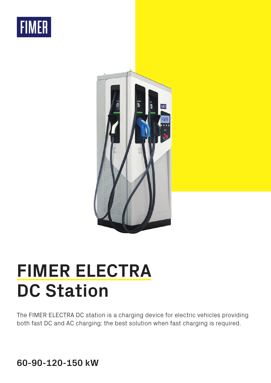



## **FIMER ELECTRA DC Station**

The FIMER ELECTRA DC station is a charging device for electric vehicles providing both fast DC and AC charging; the best solution when fast charging is required.

**60-90-120-150 kW**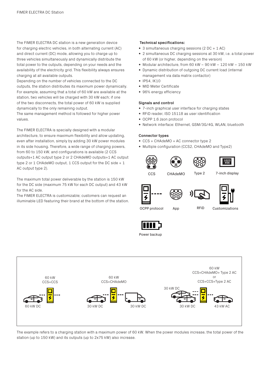The FIMER ELECTRA DC station is a new generation device for charging electric vehicles, in both alternating current (AC) and direct current (DC) mode, allowing you to charge up to three vehicles simultaneously and dynamically distribute the total power to the outputs, depending on your needs and the availability of the electricity grid. This flexibility always ensures charging at all available outputs.

Depending on the number of vehicles connected to the DC outputs, the station distributes its maximum power dynamically. For example, assuming that a total of 60 kW are available at the station, two vehicles will be charged with 30 kW each; if one of the two disconnects, the total power of 60 kW is supplied dynamically to the only remaining output.

The same management method is followed for higher power values.

The FIMER ELECTRA is specially designed with a modular architecture, to ensure maximum flexibility and allow updating, even after installation, simply by adding 30 kW power modules in its side housing. Therefore, a wide range of charging powers, from 60 to 150 kW, and configurations is available (2 CCS outputs+1 AC output type 2 or 2 CHAdeMO outputs+1 AC output type 2 or 1 CHAdeMO output, 1 CCS output for the DC side + 1 AC output type 2).

The maximum total power deliverable by the station is 150 kW for the DC side (maximum 75 kW for each DC output) and 43 kW for the AC side.

The FIMER ELECTRA is customizable; customers can request an illuminable LED featuring their brand at the bottom of the station.

## **Technical specifications:**

- 3 simultaneous charging sessions (2 DC + 1 AC)
- 2 simultaneous DC charging sessions at 30 kW, i.e. a total power of 60 kW (or higher, depending on the version)
- Modular architecture, from 60 kW 90 kW 120 kW 150 kW
- Dynamic distribution of outgoing DC current load (internal management via data matrix contactor)
- $\bullet$  IP54, IK10
- MID Meter Certificate
- 96% energy efficiency

## **Signals and control**

- 7-inch graphical user interface for charging states
- RFiD reader, ISO 15118 as user identification
- OCPP 1.6 Json protocol
- Network interface: Ethernet, GSM/3G/4G, WLAN, bluetooth

## **Connector types**

- CCS + CHAdeMO + AC connector type 2
- Multiple configuration (CCS2, CHAdeMO and Type2)













OCPP protocol App RFID Customizations

RFiD



Power backup



The example refers to a charging station with a maximum power of 60 kW. When the power modules increase, the total power of the station (up to 150 kW) and its outputs (up to 2x75 kW) also increase.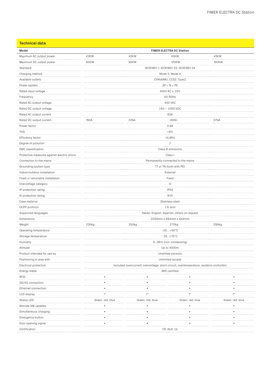|  | <b>Technical data</b> |
|--|-----------------------|
|  |                       |

| Model                                      | <b>FIMER ELECTRA DC Station</b>                                                           |                  |                                              |                  |  |  |  |
|--------------------------------------------|-------------------------------------------------------------------------------------------|------------------|----------------------------------------------|------------------|--|--|--|
| Maximum AC output power                    | 43KW<br>43KW<br>43KW<br>43KW                                                              |                  |                                              |                  |  |  |  |
| Maximum DC output power                    | .<br>60KW<br>90KW<br>120KW<br>150KW                                                       |                  |                                              |                  |  |  |  |
| Standard<br>.                              | .<br>IEC61851-1, IEC61851-23, IEC61851-24                                                 |                  |                                              |                  |  |  |  |
| Charging method                            | Mode 3, Mode 4                                                                            |                  |                                              |                  |  |  |  |
| Available outlets                          | CHAdeMO, CCS2, Type2                                                                      |                  |                                              |                  |  |  |  |
| Power system                               | $3P + N + PE$                                                                             |                  |                                              |                  |  |  |  |
| Rated input voltage                        | 400V AC $\pm$ 10%                                                                         |                  |                                              |                  |  |  |  |
| Frequency                                  |                                                                                           |                  | 50-60Hz                                      |                  |  |  |  |
| Rated AC output voltage                    |                                                                                           |                  | 400 VAC<br>. <b>.</b>                        |                  |  |  |  |
| Rated DC output voltage                    |                                                                                           |                  | 150 - 1000 VDC                               |                  |  |  |  |
| Rated AC output current                    | 63A<br>.                                                                                  |                  |                                              |                  |  |  |  |
| Rated DC output current                    | 150A                                                                                      | 225A             | 300A                                         | 375A             |  |  |  |
| Power factor                               |                                                                                           |                  | 0.99                                         |                  |  |  |  |
| THD                                        | < 5%                                                                                      |                  |                                              |                  |  |  |  |
| Efficiency factor                          | >0.96%                                                                                    |                  |                                              |                  |  |  |  |
| Degree of pollution                        |                                                                                           |                  | $\overline{c}$                               |                  |  |  |  |
| <b>EMC</b> classification                  | Class B emissions                                                                         |                  |                                              |                  |  |  |  |
| Protective measures against electric shock | Class I<br>. <b>.</b> .                                                                   |                  |                                              |                  |  |  |  |
| Connection to the mains                    | Permanently connected to the mains                                                        |                  |                                              |                  |  |  |  |
| Grounding system type                      | TT or TN (both with PE)                                                                   |                  |                                              |                  |  |  |  |
| Indoor/outdoor installation                | External                                                                                  |                  |                                              |                  |  |  |  |
| Fixed or removable installation            |                                                                                           |                  | Fixed                                        |                  |  |  |  |
| Overvoltage category                       |                                                                                           |                  | $\vert\vert\vert$<br>.                       |                  |  |  |  |
| IP protection rating                       | <b>IP55</b>                                                                               |                  |                                              |                  |  |  |  |
| IK protection rating                       |                                                                                           |                  | <b>IK10</b>                                  |                  |  |  |  |
| Case material                              |                                                                                           |                  | Stainless steel                              |                  |  |  |  |
| OCPP protocol                              |                                                                                           |                  | 1.6 Json                                     |                  |  |  |  |
| Supported languages                        |                                                                                           |                  | Italian, English, Spanish, others on request |                  |  |  |  |
| Dimensions                                 | 2030mm x 694mm x 644mm                                                                    |                  |                                              |                  |  |  |  |
| Weight                                     | 270kg<br>230kg<br>250kg<br>290kg<br><br>.                                                 |                  |                                              |                  |  |  |  |
| Operating temperature                      | $-25+50^{\circ}C$                                                                         |                  |                                              |                  |  |  |  |
| Storage temperature                        | $-25+70^{\circ}C$<br>.                                                                    |                  |                                              |                  |  |  |  |
| Humidity                                   | 095% (non-condensing)                                                                     |                  |                                              |                  |  |  |  |
| Altitude                                   | Up to 4000m                                                                               |                  |                                              |                  |  |  |  |
| Product intended for use by                | Unskilled persons                                                                         |                  |                                              |                  |  |  |  |
| Positioning in area with                   | Unlimited access                                                                          |                  |                                              |                  |  |  |  |
| Electrical protection                      | Included (overcurrent, overvoltage, short-circuit, overtemperature, isolation controller) |                  |                                              |                  |  |  |  |
| Energy meter                               | MID certified                                                                             |                  |                                              |                  |  |  |  |
| RFID                                       |                                                                                           |                  |                                              |                  |  |  |  |
| 3G/4G connection                           |                                                                                           |                  |                                              |                  |  |  |  |
| Ethernet connection                        |                                                                                           |                  |                                              |                  |  |  |  |
| LCD display                                | 7"                                                                                        | 7"               | 7"                                           | 7"<br>.          |  |  |  |
| Status LED                                 | Green, red, blue                                                                          | Green, red, blue | Green, red, blue                             | Green, red, blue |  |  |  |
| Remote SW updates                          |                                                                                           |                  |                                              |                  |  |  |  |
| Simultaneous charging                      |                                                                                           |                  |                                              |                  |  |  |  |
| Emergency button                           |                                                                                           |                  |                                              |                  |  |  |  |
| Door opening signal                        |                                                                                           |                  |                                              |                  |  |  |  |
| Certification                              | CE, AUX, UL                                                                               |                  |                                              |                  |  |  |  |